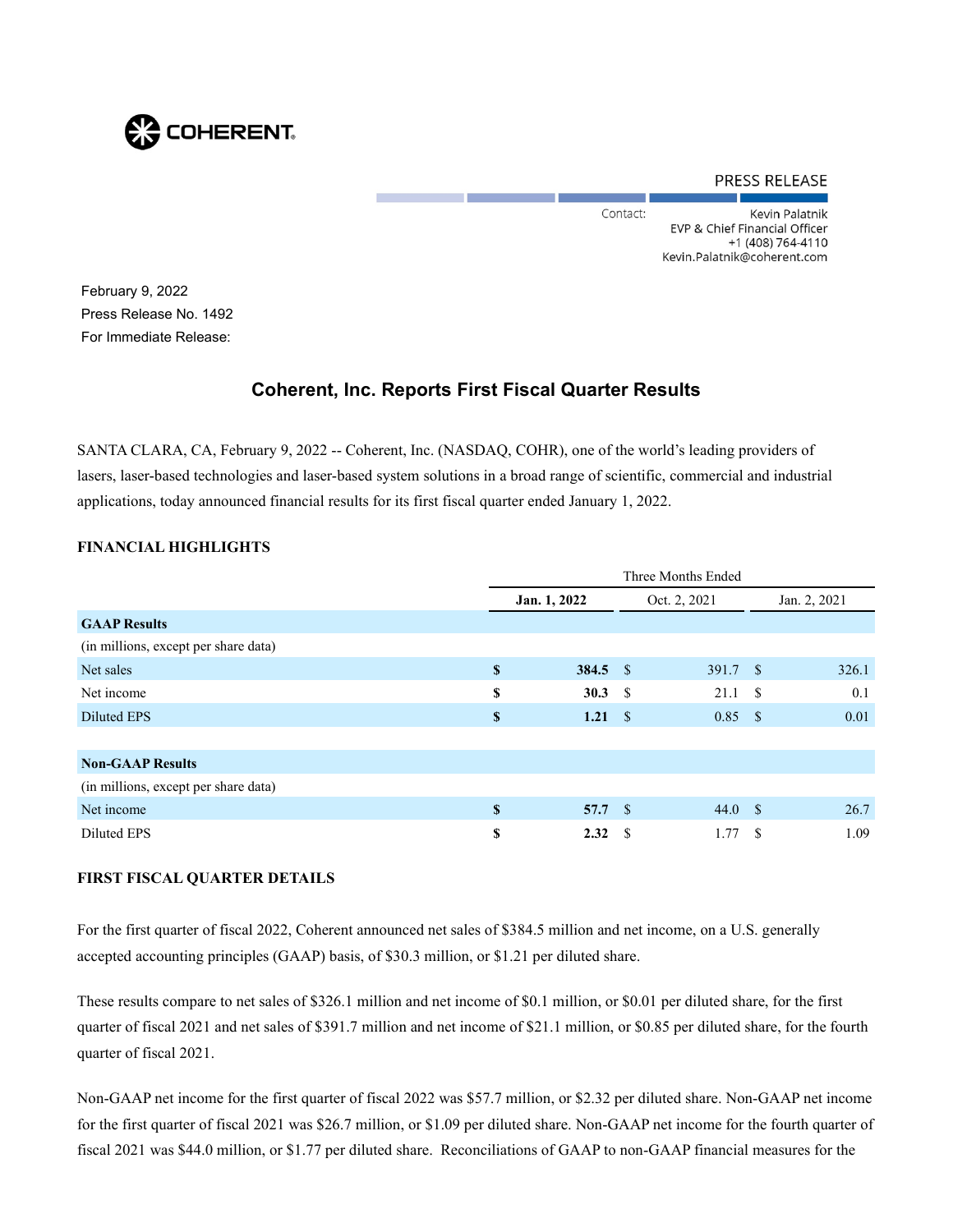

**PRESS RELEASE** 

Contact:

Kevin Palatnik EVP & Chief Financial Officer +1 (408) 764-4110 Kevin.Palatnik@coherent.com

February 9, 2022 Press Release No. 1492 For Immediate Release:

# **Coherent, Inc. Reports First Fiscal Quarter Results**

SANTA CLARA, CA, February 9, 2022 -- Coherent, Inc. (NASDAQ, COHR), one of the world's leading providers of lasers, laser-based technologies and laser-based system solutions in a broad range of scientific, commercial and industrial applications, today announced financial results for its first fiscal quarter ended January 1, 2022.

# **FINANCIAL HIGHLIGHTS**

|                                      |    | Three Months Ended |          |              |      |              |  |  |
|--------------------------------------|----|--------------------|----------|--------------|------|--------------|--|--|
|                                      |    | Jan. 1, 2022       |          | Oct. 2, 2021 |      | Jan. 2, 2021 |  |  |
| <b>GAAP Results</b>                  |    |                    |          |              |      |              |  |  |
| (in millions, except per share data) |    |                    |          |              |      |              |  |  |
| Net sales                            | \$ | 384.5 $\sqrt{3}$   |          | 391.7 \$     |      | 326.1        |  |  |
| Net income                           | S  | 30.3               | -S       | 21.1         | -S   | 0.1          |  |  |
| Diluted EPS                          | \$ | 1.21               | - \$     | 0.85         | - \$ | 0.01         |  |  |
|                                      |    |                    |          |              |      |              |  |  |
| <b>Non-GAAP Results</b>              |    |                    |          |              |      |              |  |  |
| (in millions, except per share data) |    |                    |          |              |      |              |  |  |
| Net income                           | S  | 57.7               | - \$     | 44.0         | - \$ | 26.7         |  |  |
| Diluted EPS                          | \$ | 2.32               | <b>S</b> | 1.77         | -S   | 1.09         |  |  |

# **FIRST FISCAL QUARTER DETAILS**

For the first quarter of fiscal 2022, Coherent announced net sales of \$384.5 million and net income, on a U.S. generally accepted accounting principles (GAAP) basis, of \$30.3 million, or \$1.21 per diluted share.

These results compare to net sales of \$326.1 million and net income of \$0.1 million, or \$0.01 per diluted share, for the first quarter of fiscal 2021 and net sales of \$391.7 million and net income of \$21.1 million, or \$0.85 per diluted share, for the fourth quarter of fiscal 2021.

Non-GAAP net income for the first quarter of fiscal 2022 was \$57.7 million, or \$2.32 per diluted share. Non-GAAP net income for the first quarter of fiscal 2021 was \$26.7 million, or \$1.09 per diluted share. Non-GAAP net income for the fourth quarter of fiscal 2021 was \$44.0 million, or \$1.77 per diluted share. Reconciliations of GAAP to non-GAAP financial measures for the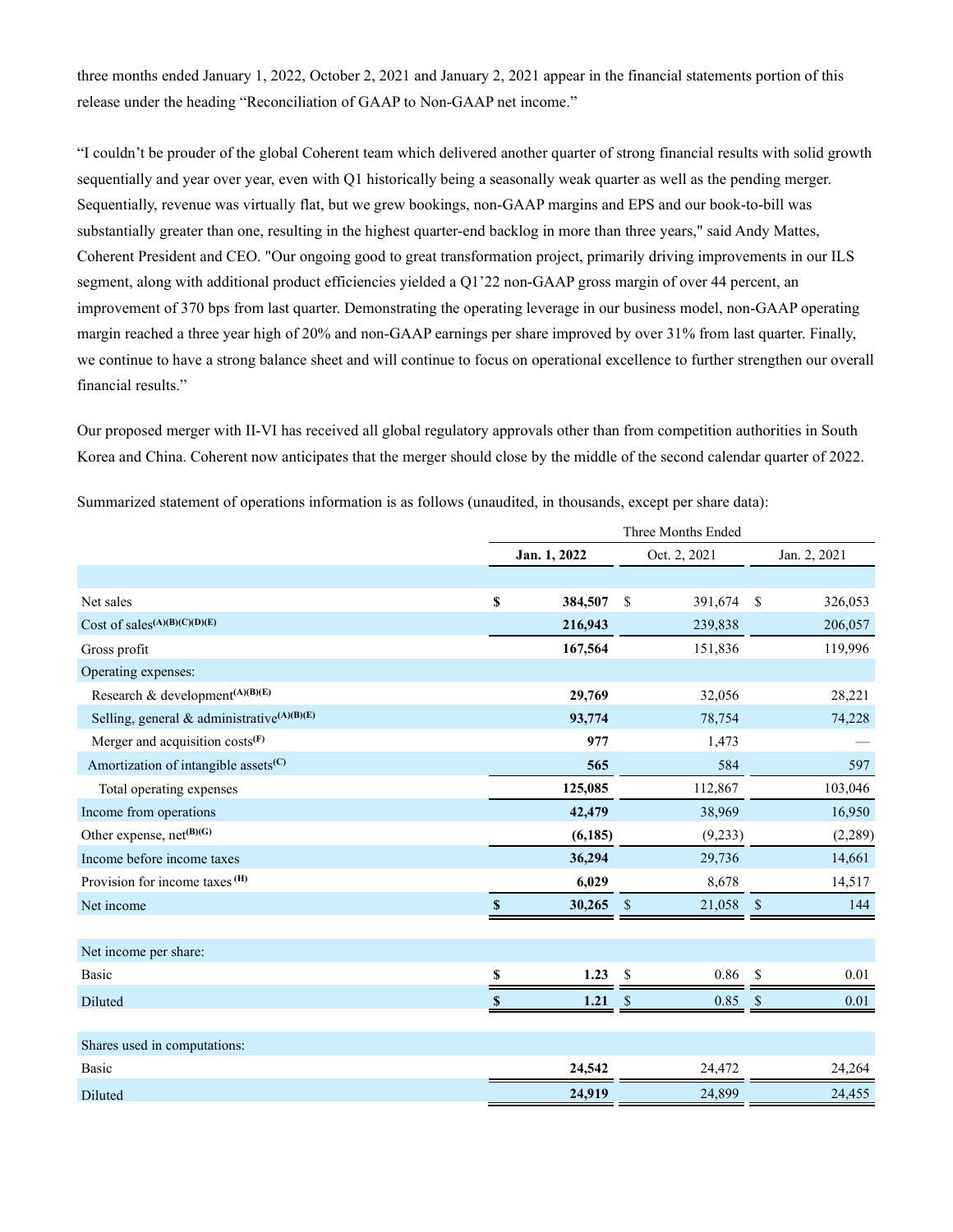three months ended January 1, 2022, October 2, 2021 and January 2, 2021 appear in the financial statements portion of this release under the heading "Reconciliation of GAAP to Non-GAAP net income."

"I couldn't be prouder of the global Coherent team which delivered another quarter of strong financial results with solid growth sequentially and year over year, even with Q1 historically being a seasonally weak quarter as well as the pending merger. Sequentially, revenue was virtually flat, but we grew bookings, non-GAAP margins and EPS and our book-to-bill was substantially greater than one, resulting in the highest quarter-end backlog in more than three years," said Andy Mattes, Coherent President and CEO. "Our ongoing good to great transformation project, primarily driving improvements in our ILS segment, along with additional product efficiencies yielded a Q1'22 non-GAAP gross margin of over 44 percent, an improvement of 370 bps from last quarter. Demonstrating the operating leverage in our business model, non-GAAP operating margin reached a three year high of 20% and non-GAAP earnings per share improved by over 31% from last quarter. Finally, we continue to have a strong balance sheet and will continue to focus on operational excellence to further strengthen our overall financial results."

Our proposed merger with II-VI has received all global regulatory approvals other than from competition authorities in South Korea and China. Coherent now anticipates that the merger should close by the middle of the second calendar quarter of 2022.

|                                                        | Three Months Ended |          |               |         |               |              |
|--------------------------------------------------------|--------------------|----------|---------------|---------|---------------|--------------|
|                                                        | Jan. 1, 2022       |          | Oct. 2, 2021  |         |               | Jan. 2, 2021 |
|                                                        |                    |          |               |         |               |              |
| Net sales                                              | $\mathbf S$        | 384,507  | <sup>\$</sup> | 391,674 | $\mathcal{S}$ | 326,053      |
| Cost of sales <sup><math>(A)(B)(C)(D)(E)</math></sup>  |                    | 216,943  |               | 239,838 |               | 206,057      |
| Gross profit                                           |                    | 167,564  |               | 151,836 |               | 119,996      |
| Operating expenses:                                    |                    |          |               |         |               |              |
| Research & development <sup>(A)(B)(E)</sup>            |                    | 29,769   |               | 32,056  |               | 28,221       |
| Selling, general & administrative <sup>(A)(B)(E)</sup> |                    | 93,774   |               | 78,754  |               | 74,228       |
| Merger and acquisition $costs^{(F)}$                   |                    | 977      |               | 1,473   |               |              |
| Amortization of intangible assets <sup>(C)</sup>       |                    | 565      |               | 584     |               | 597          |
| Total operating expenses                               |                    | 125,085  |               | 112,867 |               | 103,046      |
| Income from operations                                 |                    | 42,479   |               | 38,969  |               | 16,950       |
| Other expense, $net^{(B)(G)}$                          |                    | (6, 185) |               | (9,233) |               | (2,289)      |
| Income before income taxes                             |                    | 36,294   |               | 29,736  |               | 14,661       |
| Provision for income taxes $(H)$                       |                    | 6,029    |               | 8,678   |               | 14,517       |
| Net income                                             | $\mathbf{s}$       | 30,265   | $\mathcal{S}$ | 21,058  | -S            | 144          |
|                                                        |                    |          |               |         |               |              |
| Net income per share:                                  |                    |          |               |         |               |              |
| Basic                                                  | S                  | 1.23     | -S            | 0.86    | -S            | 0.01         |
| Diluted                                                |                    | 1.21     | -\$           | 0.85    | -\$           | 0.01         |
|                                                        |                    |          |               |         |               |              |
| Shares used in computations:                           |                    |          |               |         |               |              |
| Basic                                                  |                    | 24,542   |               | 24,472  |               | 24,264       |
| Diluted                                                |                    | 24,919   |               | 24,899  |               | 24,455       |

Summarized statement of operations information is as follows (unaudited, in thousands, except per share data):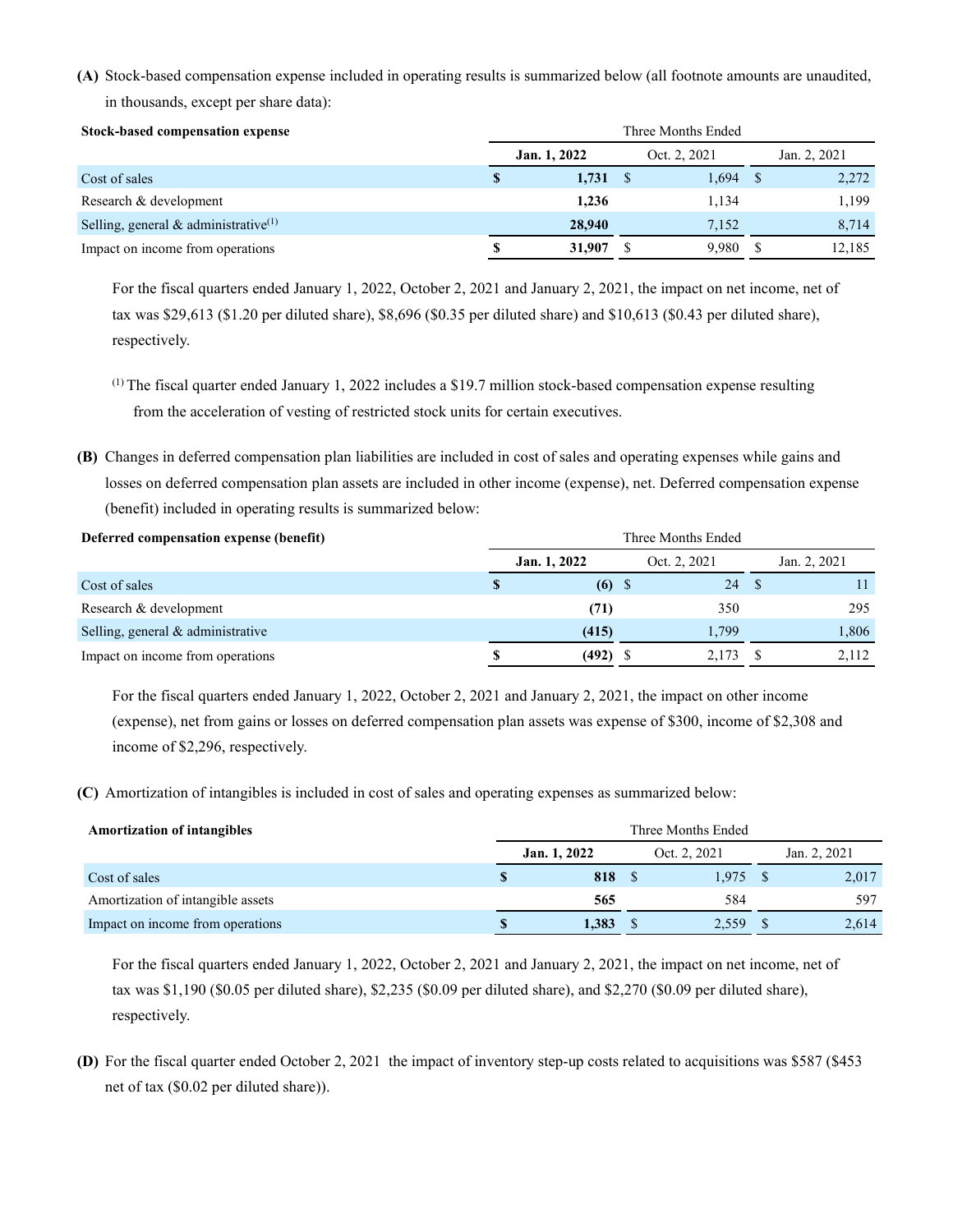**(A)** Stock-based compensation expense included in operating results is summarized below (all footnote amounts are unaudited, in thousands, except per share data):

| <b>Stock-based compensation expense</b>          | Three Months Ended |                              |  |       |              |        |
|--------------------------------------------------|--------------------|------------------------------|--|-------|--------------|--------|
|                                                  |                    | Jan. 1, 2022<br>Oct. 2, 2021 |  |       | Jan. 2, 2021 |        |
| Cost of sales                                    | S                  | 1.731                        |  | 1.694 |              | 2,272  |
| Research & development                           |                    | 1.236                        |  | 1.134 |              | 1,199  |
| Selling, general & administrative <sup>(1)</sup> |                    | 28,940                       |  | 7.152 |              | 8,714  |
| Impact on income from operations                 |                    | 31,907                       |  | 9,980 |              | 12.185 |

For the fiscal quarters ended January 1, 2022, October 2, 2021 and January 2, 2021, the impact on net income, net of tax was \$29,613 (\$1.20 per diluted share), \$8,696 (\$0.35 per diluted share) and \$10,613 (\$0.43 per diluted share), respectively.

- $<sup>(1)</sup>$  The fiscal quarter ended January 1, 2022 includes a \$19.7 million stock-based compensation expense resulting</sup> from the acceleration of vesting of restricted stock units for certain executives.
- **(B)** Changes in deferred compensation plan liabilities are included in cost of sales and operating expenses while gains and losses on deferred compensation plan assets are included in other income (expense), net. Deferred compensation expense (benefit) included in operating results is summarized below:

| Deferred compensation expense (benefit) | Three Months Ended |          |  |              |      |              |
|-----------------------------------------|--------------------|----------|--|--------------|------|--------------|
|                                         | Jan. 1, 2022       |          |  | Oct. 2, 2021 |      | Jan. 2, 2021 |
| Cost of sales                           |                    | $(6)$ \$ |  | 24           | - \$ |              |
| Research & development                  |                    | (71)     |  | 350          |      | 295          |
| Selling, general & administrative       |                    | (415)    |  | 1.799        |      | 1,806        |
| Impact on income from operations        |                    | (492)    |  | 2.173        |      | 2,112        |

For the fiscal quarters ended January 1, 2022, October 2, 2021 and January 2, 2021, the impact on other income (expense), net from gains or losses on deferred compensation plan assets was expense of \$300, income of \$2,308 and income of \$2,296, respectively.

**(C)** Amortization of intangibles is included in cost of sales and operating expenses as summarized below:

| <b>Amortization of intangibles</b> | Three Months Ended |       |              |       |              |       |
|------------------------------------|--------------------|-------|--------------|-------|--------------|-------|
|                                    | Jan. 1, 2022       |       | Oct. 2, 2021 |       | Jan. 2, 2021 |       |
| Cost of sales                      |                    | 818   |              | 1.975 |              | 2,017 |
| Amortization of intangible assets  |                    | 565   |              | 584   |              | 597   |
| Impact on income from operations   |                    | 1.383 |              | 2.559 |              | 2,614 |

For the fiscal quarters ended January 1, 2022, October 2, 2021 and January 2, 2021, the impact on net income, net of tax was \$1,190 (\$0.05 per diluted share), \$2,235 (\$0.09 per diluted share), and \$2,270 (\$0.09 per diluted share), respectively.

**(D)** For the fiscal quarter ended October 2, 2021 the impact of inventory step-up costs related to acquisitions was \$587 (\$453 net of tax (\$0.02 per diluted share)).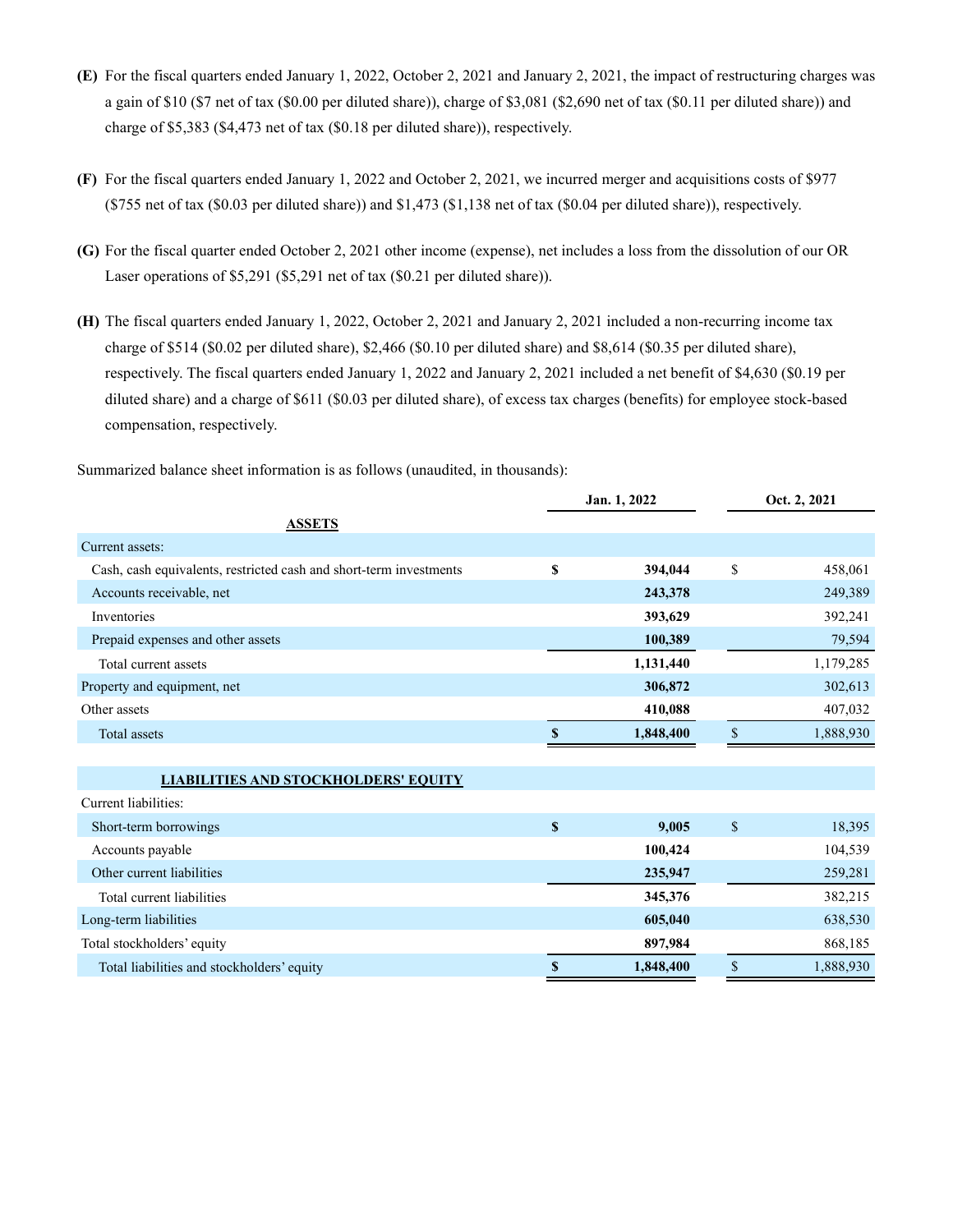- **(E)** For the fiscal quarters ended January 1, 2022, October 2, 2021 and January 2, 2021, the impact of restructuring charges was a gain of \$10 (\$7 net of tax (\$0.00 per diluted share)), charge of \$3,081 (\$2,690 net of tax (\$0.11 per diluted share)) and charge of \$5,383 (\$4,473 net of tax (\$0.18 per diluted share)), respectively.
- **(F)** For the fiscal quarters ended January 1, 2022 and October 2, 2021, we incurred merger and acquisitions costs of \$977 (\$755 net of tax (\$0.03 per diluted share)) and \$1,473 (\$1,138 net of tax (\$0.04 per diluted share)), respectively.
- **(G)** For the fiscal quarter ended October 2, 2021 other income (expense), net includes a loss from the dissolution of our OR Laser operations of \$5,291 (\$5,291 net of tax (\$0.21 per diluted share)).
- **(H)** The fiscal quarters ended January 1, 2022, October 2, 2021 and January 2, 2021 included a non-recurring income tax charge of \$514 (\$0.02 per diluted share), \$2,466 (\$0.10 per diluted share) and \$8,614 (\$0.35 per diluted share), respectively. The fiscal quarters ended January 1, 2022 and January 2, 2021 included a net benefit of \$4,630 (\$0.19 per diluted share) and a charge of \$611 (\$0.03 per diluted share), of excess tax charges (benefits) for employee stock-based compensation, respectively.

|                                                                    | Jan. 1, 2022 |           |    | Oct. 2, 2021 |
|--------------------------------------------------------------------|--------------|-----------|----|--------------|
| <b>ASSETS</b>                                                      |              |           |    |              |
| Current assets:                                                    |              |           |    |              |
| Cash, cash equivalents, restricted cash and short-term investments | S            | 394,044   | \$ | 458,061      |
| Accounts receivable, net                                           |              | 243,378   |    | 249,389      |
| Inventories                                                        |              | 393,629   |    | 392,241      |
| Prepaid expenses and other assets                                  |              | 100,389   |    | 79,594       |
| Total current assets                                               |              | 1,131,440 |    | 1,179,285    |
| Property and equipment, net                                        |              | 306,872   |    | 302,613      |
| Other assets                                                       |              | 410,088   |    | 407,032      |
| Total assets                                                       | $\mathbf{s}$ | 1,848,400 | \$ | 1,888,930    |
|                                                                    |              |           |    |              |
| <b>LIABILITIES AND STOCKHOLDERS' EQUITY</b>                        |              |           |    |              |
| Current liabilities:                                               |              |           |    |              |
| Short-term borrowings                                              | $\mathbf{s}$ | 9,005     | \$ | 18,395       |
| Accounts payable                                                   |              | 100,424   |    | 104,539      |
| Other current liabilities                                          |              | 235,947   |    | 259,281      |
| Total current liabilities                                          |              | 345,376   |    | 382,215      |
| Long-term liabilities                                              |              | 605,040   |    | 638,530      |
| Total stockholders' equity                                         |              | 897,984   |    | 868,185      |
| Total liabilities and stockholders' equity                         | \$           | 1,848,400 | \$ | 1,888,930    |

Summarized balance sheet information is as follows (unaudited, in thousands):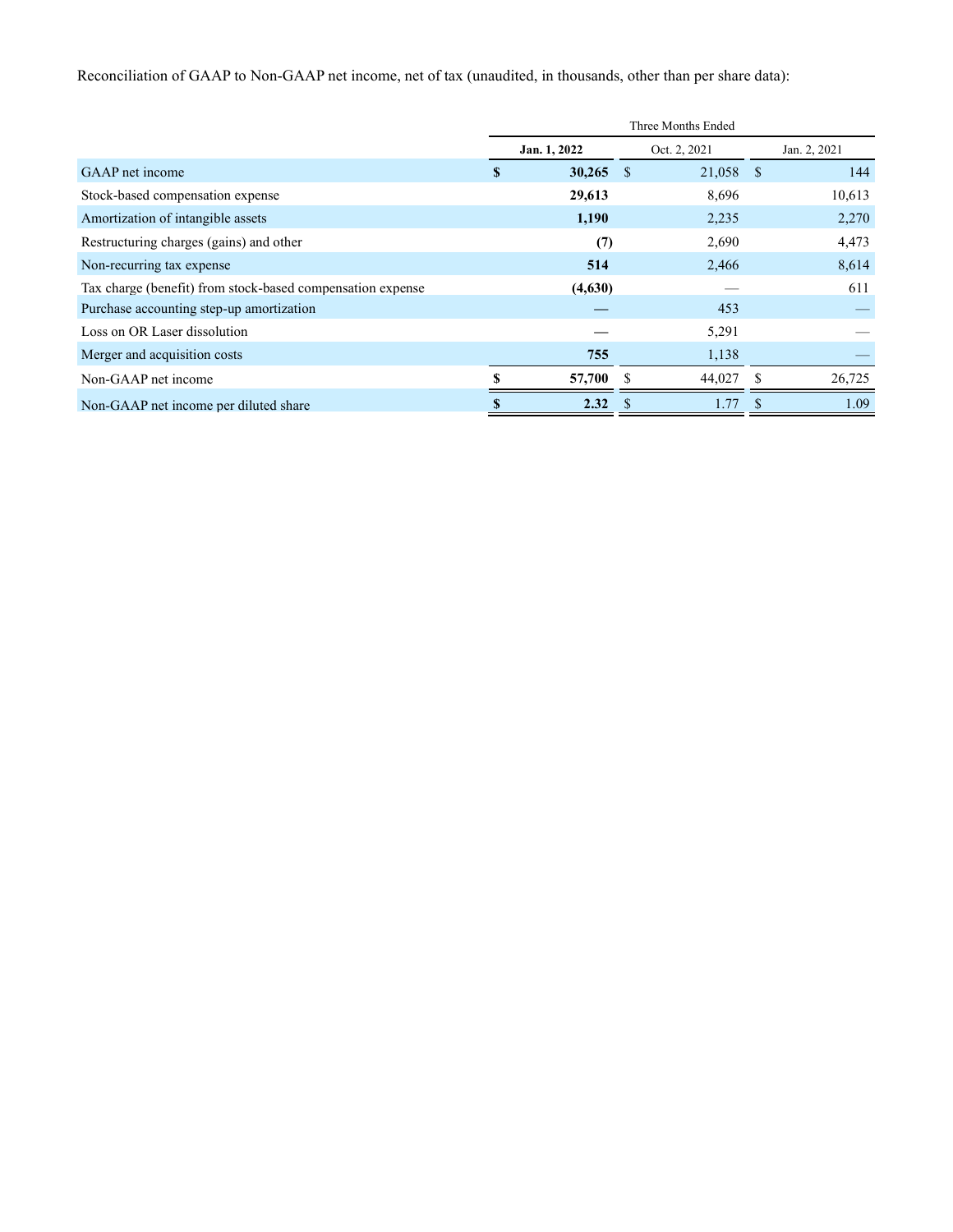Reconciliation of GAAP to Non-GAAP net income, net of tax (unaudited, in thousands, other than per share data):

|                                                            | Three Months Ended |              |               |           |     |              |  |
|------------------------------------------------------------|--------------------|--------------|---------------|-----------|-----|--------------|--|
|                                                            |                    | Jan. 1, 2022 | Oct. 2, 2021  |           |     | Jan. 2, 2021 |  |
| GAAP net income                                            | S                  | 30,265       | -S            | 21,058 \$ |     | 144          |  |
| Stock-based compensation expense                           |                    | 29,613       |               | 8,696     |     | 10,613       |  |
| Amortization of intangible assets                          |                    | 1,190        |               | 2,235     |     | 2,270        |  |
| Restructuring charges (gains) and other                    |                    | (7)          |               | 2,690     |     | 4,473        |  |
| Non-recurring tax expense                                  |                    | 514          |               | 2,466     |     | 8,614        |  |
| Tax charge (benefit) from stock-based compensation expense |                    | (4,630)      |               |           |     | 611          |  |
| Purchase accounting step-up amortization                   |                    |              |               | 453       |     |              |  |
| Loss on OR Laser dissolution                               |                    |              |               | 5,291     |     |              |  |
| Merger and acquisition costs                               |                    | 755          |               | 1,138     |     |              |  |
| Non-GAAP net income                                        |                    | 57,700       |               | 44,027    |     | 26,725       |  |
| Non-GAAP net income per diluted share                      | S                  | 2.32         | <sup>\$</sup> | 1.77      | \$. | 1.09         |  |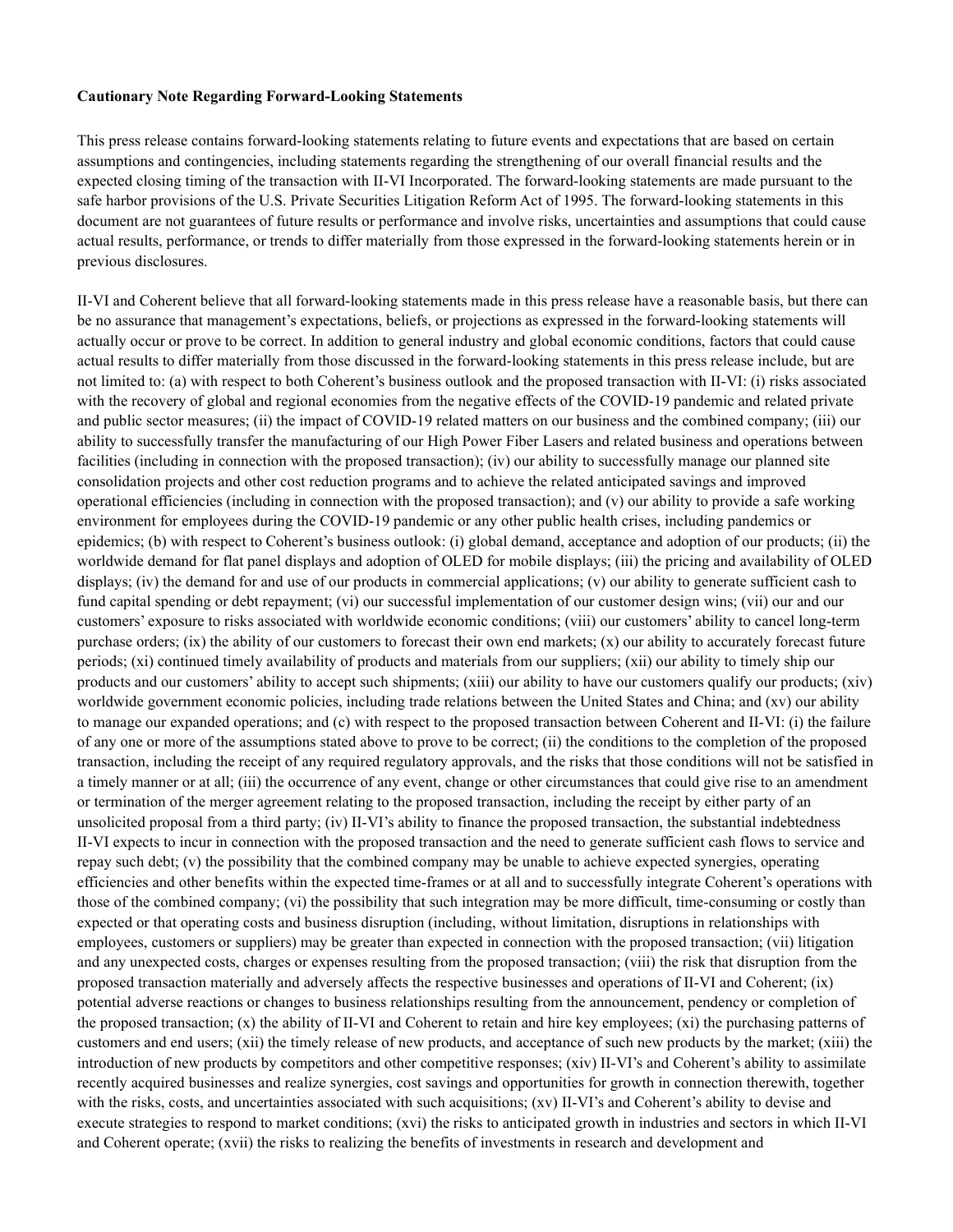#### **Cautionary Note Regarding Forward-Looking Statements**

This press release contains forward-looking statements relating to future events and expectations that are based on certain assumptions and contingencies, including statements regarding the strengthening of our overall financial results and the expected closing timing of the transaction with II-VI Incorporated. The forward-looking statements are made pursuant to the safe harbor provisions of the U.S. Private Securities Litigation Reform Act of 1995. The forward-looking statements in this document are not guarantees of future results or performance and involve risks, uncertainties and assumptions that could cause actual results, performance, or trends to differ materially from those expressed in the forward-looking statements herein or in previous disclosures.

II‑VI and Coherent believe that all forward-looking statements made in this press release have a reasonable basis, but there can be no assurance that management's expectations, beliefs, or projections as expressed in the forward-looking statements will actually occur or prove to be correct. In addition to general industry and global economic conditions, factors that could cause actual results to differ materially from those discussed in the forward-looking statements in this press release include, but are not limited to: (a) with respect to both Coherent's business outlook and the proposed transaction with II-VI: (i) risks associated with the recovery of global and regional economies from the negative effects of the COVID-19 pandemic and related private and public sector measures; (ii) the impact of COVID-19 related matters on our business and the combined company; (iii) our ability to successfully transfer the manufacturing of our High Power Fiber Lasers and related business and operations between facilities (including in connection with the proposed transaction); (iv) our ability to successfully manage our planned site consolidation projects and other cost reduction programs and to achieve the related anticipated savings and improved operational efficiencies (including in connection with the proposed transaction); and (v) our ability to provide a safe working environment for employees during the COVID-19 pandemic or any other public health crises, including pandemics or epidemics; (b) with respect to Coherent's business outlook: (i) global demand, acceptance and adoption of our products; (ii) the worldwide demand for flat panel displays and adoption of OLED for mobile displays; (iii) the pricing and availability of OLED displays; (iv) the demand for and use of our products in commercial applications; (v) our ability to generate sufficient cash to fund capital spending or debt repayment; (vi) our successful implementation of our customer design wins; (vii) our and our customers' exposure to risks associated with worldwide economic conditions; (viii) our customers' ability to cancel long-term purchase orders; (ix) the ability of our customers to forecast their own end markets; (x) our ability to accurately forecast future periods; (xi) continued timely availability of products and materials from our suppliers; (xii) our ability to timely ship our products and our customers' ability to accept such shipments; (xiii) our ability to have our customers qualify our products; (xiv) worldwide government economic policies, including trade relations between the United States and China; and (xv) our ability to manage our expanded operations; and (c) with respect to the proposed transaction between Coherent and II-VI: (i) the failure of any one or more of the assumptions stated above to prove to be correct; (ii) the conditions to the completion of the proposed transaction, including the receipt of any required regulatory approvals, and the risks that those conditions will not be satisfied in a timely manner or at all; (iii) the occurrence of any event, change or other circumstances that could give rise to an amendment or termination of the merger agreement relating to the proposed transaction, including the receipt by either party of an unsolicited proposal from a third party; (iv) II‑VI's ability to finance the proposed transaction, the substantial indebtedness II‑VI expects to incur in connection with the proposed transaction and the need to generate sufficient cash flows to service and repay such debt;  $(v)$  the possibility that the combined company may be unable to achieve expected synergies, operating efficiencies and other benefits within the expected time-frames or at all and to successfully integrate Coherent's operations with those of the combined company; (vi) the possibility that such integration may be more difficult, time-consuming or costly than expected or that operating costs and business disruption (including, without limitation, disruptions in relationships with employees, customers or suppliers) may be greater than expected in connection with the proposed transaction; (vii) litigation and any unexpected costs, charges or expenses resulting from the proposed transaction; (viii) the risk that disruption from the proposed transaction materially and adversely affects the respective businesses and operations of II‑VI and Coherent; (ix) potential adverse reactions or changes to business relationships resulting from the announcement, pendency or completion of the proposed transaction; (x) the ability of II‑VI and Coherent to retain and hire key employees; (xi) the purchasing patterns of customers and end users; (xii) the timely release of new products, and acceptance of such new products by the market; (xiii) the introduction of new products by competitors and other competitive responses; (xiv) II‑VI's and Coherent's ability to assimilate recently acquired businesses and realize synergies, cost savings and opportunities for growth in connection therewith, together with the risks, costs, and uncertainties associated with such acquisitions; (xv) II-VI's and Coherent's ability to devise and execute strategies to respond to market conditions; (xvi) the risks to anticipated growth in industries and sectors in which II‑VI and Coherent operate; (xvii) the risks to realizing the benefits of investments in research and development and